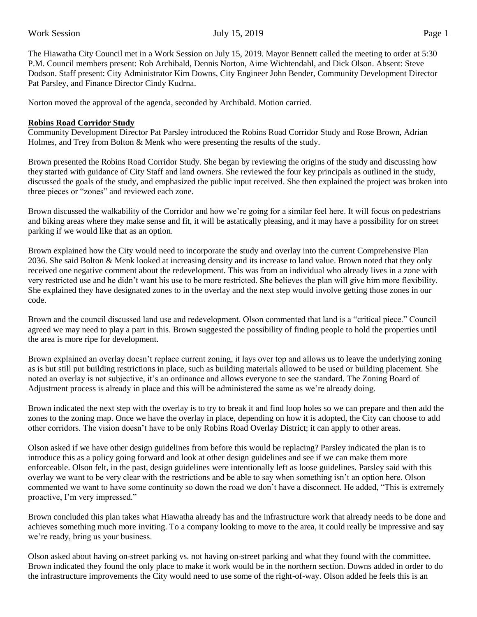The Hiawatha City Council met in a Work Session on July 15, 2019. Mayor Bennett called the meeting to order at 5:30 P.M. Council members present: Rob Archibald, Dennis Norton, Aime Wichtendahl, and Dick Olson. Absent: Steve Dodson. Staff present: City Administrator Kim Downs, City Engineer John Bender, Community Development Director Pat Parsley, and Finance Director Cindy Kudrna.

Norton moved the approval of the agenda, seconded by Archibald. Motion carried.

#### **Robins Road Corridor Study**

Community Development Director Pat Parsley introduced the Robins Road Corridor Study and Rose Brown, Adrian Holmes, and Trey from Bolton & Menk who were presenting the results of the study.

Brown presented the Robins Road Corridor Study. She began by reviewing the origins of the study and discussing how they started with guidance of City Staff and land owners. She reviewed the four key principals as outlined in the study, discussed the goals of the study, and emphasized the public input received. She then explained the project was broken into three pieces or "zones" and reviewed each zone.

Brown discussed the walkability of the Corridor and how we're going for a similar feel here. It will focus on pedestrians and biking areas where they make sense and fit, it will be astatically pleasing, and it may have a possibility for on street parking if we would like that as an option.

Brown explained how the City would need to incorporate the study and overlay into the current Comprehensive Plan 2036. She said Bolton & Menk looked at increasing density and its increase to land value. Brown noted that they only received one negative comment about the redevelopment. This was from an individual who already lives in a zone with very restricted use and he didn't want his use to be more restricted. She believes the plan will give him more flexibility. She explained they have designated zones to in the overlay and the next step would involve getting those zones in our code.

Brown and the council discussed land use and redevelopment. Olson commented that land is a "critical piece." Council agreed we may need to play a part in this. Brown suggested the possibility of finding people to hold the properties until the area is more ripe for development.

Brown explained an overlay doesn't replace current zoning, it lays over top and allows us to leave the underlying zoning as is but still put building restrictions in place, such as building materials allowed to be used or building placement. She noted an overlay is not subjective, it's an ordinance and allows everyone to see the standard. The Zoning Board of Adjustment process is already in place and this will be administered the same as we're already doing.

Brown indicated the next step with the overlay is to try to break it and find loop holes so we can prepare and then add the zones to the zoning map. Once we have the overlay in place, depending on how it is adopted, the City can choose to add other corridors. The vision doesn't have to be only Robins Road Overlay District; it can apply to other areas.

Olson asked if we have other design guidelines from before this would be replacing? Parsley indicated the plan is to introduce this as a policy going forward and look at other design guidelines and see if we can make them more enforceable. Olson felt, in the past, design guidelines were intentionally left as loose guidelines. Parsley said with this overlay we want to be very clear with the restrictions and be able to say when something isn't an option here. Olson commented we want to have some continuity so down the road we don't have a disconnect. He added, "This is extremely proactive, I'm very impressed."

Brown concluded this plan takes what Hiawatha already has and the infrastructure work that already needs to be done and achieves something much more inviting. To a company looking to move to the area, it could really be impressive and say we're ready, bring us your business.

Olson asked about having on-street parking vs. not having on-street parking and what they found with the committee. Brown indicated they found the only place to make it work would be in the northern section. Downs added in order to do the infrastructure improvements the City would need to use some of the right-of-way. Olson added he feels this is an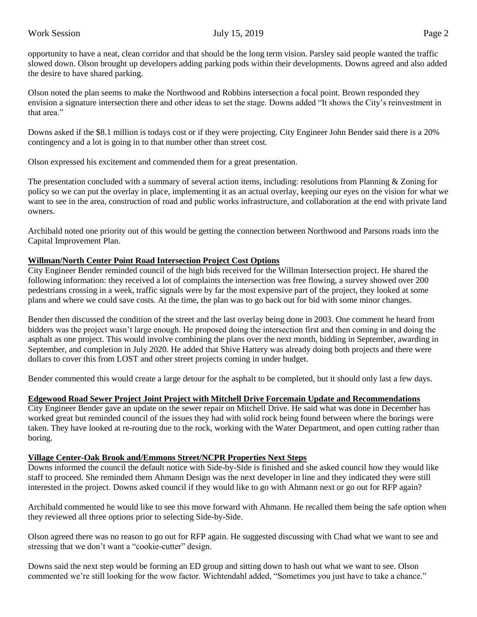opportunity to have a neat, clean corridor and that should be the long term vision. Parsley said people wanted the traffic slowed down. Olson brought up developers adding parking pods within their developments. Downs agreed and also added the desire to have shared parking.

Olson noted the plan seems to make the Northwood and Robbins intersection a focal point. Brown responded they envision a signature intersection there and other ideas to set the stage. Downs added "It shows the City's reinvestment in that area."

Downs asked if the \$8.1 million is todays cost or if they were projecting. City Engineer John Bender said there is a 20% contingency and a lot is going in to that number other than street cost.

Olson expressed his excitement and commended them for a great presentation.

The presentation concluded with a summary of several action items, including: resolutions from Planning & Zoning for policy so we can put the overlay in place, implementing it as an actual overlay, keeping our eyes on the vision for what we want to see in the area, construction of road and public works infrastructure, and collaboration at the end with private land owners.

Archibald noted one priority out of this would be getting the connection between Northwood and Parsons roads into the Capital Improvement Plan.

# **Willman/North Center Point Road Intersection Project Cost Options**

City Engineer Bender reminded council of the high bids received for the Willman Intersection project. He shared the following information: they received a lot of complaints the intersection was free flowing, a survey showed over 200 pedestrians crossing in a week, traffic signals were by far the most expensive part of the project, they looked at some plans and where we could save costs. At the time, the plan was to go back out for bid with some minor changes.

Bender then discussed the condition of the street and the last overlay being done in 2003. One comment he heard from bidders was the project wasn't large enough. He proposed doing the intersection first and then coming in and doing the asphalt as one project. This would involve combining the plans over the next month, bidding in September, awarding in September, and completion in July 2020. He added that Shive Hattery was already doing both projects and there were dollars to cover this from LOST and other street projects coming in under budget.

Bender commented this would create a large detour for the asphalt to be completed, but it should only last a few days.

## **Edgewood Road Sewer Project Joint Project with Mitchell Drive Forcemain Update and Recommendations**

City Engineer Bender gave an update on the sewer repair on Mitchell Drive. He said what was done in December has worked great but reminded council of the issues they had with solid rock being found between where the borings were taken. They have looked at re-routing due to the rock, working with the Water Department, and open cutting rather than boring.

## **Village Center-Oak Brook and/Emmons Street/NCPR Properties Next Steps**

Downs informed the council the default notice with Side-by-Side is finished and she asked council how they would like staff to proceed. She reminded them Ahmann Design was the next developer in line and they indicated they were still interested in the project. Downs asked council if they would like to go with Ahmann next or go out for RFP again?

Archibald commented he would like to see this move forward with Ahmann. He recalled them being the safe option when they reviewed all three options prior to selecting Side-by-Side.

Olson agreed there was no reason to go out for RFP again. He suggested discussing with Chad what we want to see and stressing that we don't want a "cookie-cutter" design.

Downs said the next step would be forming an ED group and sitting down to hash out what we want to see. Olson commented we're still looking for the wow factor. Wichtendahl added, "Sometimes you just have to take a chance."